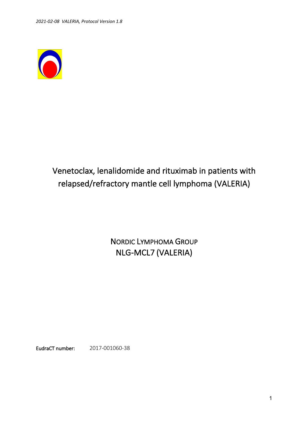

# Venetoclax, lenalidomide and rituximab in patients with relapsed/refractory mantle cell lymphoma (VALERIA)

NORDIC LYMPHOMA GROUP NLG-MCL7 (VALERIA)

EudraCT number: 2017-001060-38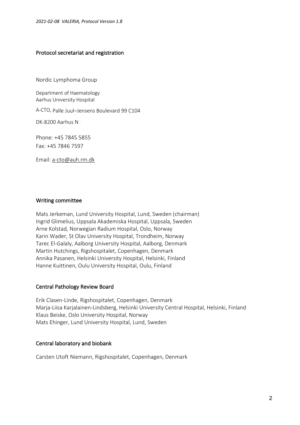#### Protocol secretariat and registration

Nordic Lymphoma Group

Department of Haematology Aarhus University Hospital

A-CTO, Palle Juul–Jensens Boulevard 99 C104

DK-8200 Aarhus NN

Phone: +45 7845 5855 Fax: +45 7846 7597

Email: a-cto@auh.rm.dk

#### Writing committee

Mats Jerkeman, Lund University Hospital, Lund, Sweden (chairman) Ingrid Glimelius, Uppsala Akademiska Hospital, Uppsala, Sweden Arne Kolstad, Norwegian Radium Hospital, Oslo, Norway Karin Wader, St Olav University Hospital, Trondheim, Norway Tarec El-Galaly, Aalborg University Hospital, Aalborg, Denmark Martin Hutchings, Rigshospitalet, Copenhagen, Denmark Annika Pasanen, Helsinki University Hospital, Helsinki, Finland Hanne Kuittinen, Oulu University Hospital, Oulu, Finland

#### Central Pathology Review Board

Erik Clasen-Linde, Rigshospitalet, Copenhagen, Denmark Marja-Liisa Karjalainen-Lindsberg, Helsinki University Central Hospital, Helsinki, Finland Klaus Beiske, Oslo University Hospital, Norway Mats Ehinger, Lund University Hospital, Lund, Sweden

#### Central laboratory and biobank

Carsten Utoft Niemann, Rigshospitalet, Copenhagen, Denmark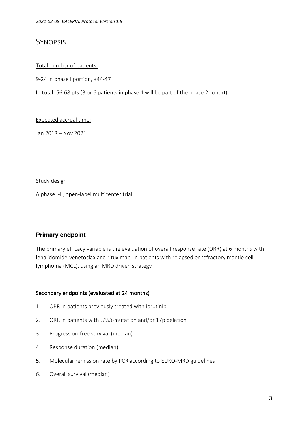## **SYNOPSIS**

## Total number of patients:

9-24 in phase I portion, +44-47

In total: 56-68 pts (3 or 6 patients in phase 1 will be part of the phase 2 cohort)

Expected accrual time:

Jan 2018 – Nov 2021

#### Study design

A phase I-II, open-label multicenter trial

## **Primary endpoint**

The primary efficacy variable is the evaluation of overall response rate (ORR) at 6 months with lenalidomide-venetoclax and rituximab, in patients with relapsed or refractory mantle cell lymphoma (MCL), using an MRD driven strategy

## Secondary endpoints (evaluated at 24 months)

- 1. ORR in patients previously treated with ibrutinib
- 2. ORR in patients with *TP53*-mutation and/or 17p deletion
- 3. Progression-free survival (median)
- 4. Response duration (median)
- 5. Molecular remission rate by PCR according to EURO-MRD guidelines
- 6. Overall survival (median)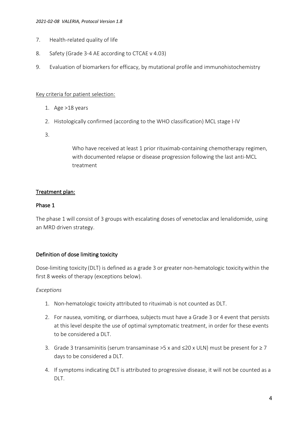- 7. Health-related quality of life
- 8. Safety (Grade 3-4 AE according to CTCAE v 4.03)
- 9. Evaluation of biomarkers for efficacy, by mutational profile and immunohistochemistry

## Key criteria for patient selection:

- 1. Age >18 years
- 2. Histologically confirmed (according to the WHO classification) MCL stage I-IV
- 3.

Who have received at least 1 prior rituximab-containing chemotherapy regimen, with documented relapse or disease progression following the last anti-MCL treatment

## Treatment plan:

## Phase 1

The phase 1 will consist of 3 groups with escalating doses of venetoclax and lenalidomide, using an MRD driven strategy.

## Definition of dose limiting toxicity

Dose-limiting toxicity (DLT) is defined as a grade 3 or greater non-hematologic toxicitywithin the first 8 weeks of therapy (exceptions below).

## *Exceptions*

- 1. Non-hematologic toxicity attributed to rituximab is not counted as DLT.
- 2. For nausea, vomiting, or diarrhoea, subjects must have a Grade 3 or 4 event that persists at this level despite the use of optimal symptomatic treatment, in order for these events to be considered a DLT.
- 3. Grade 3 transaminitis (serum transaminase >5 x and  $≤20$  x ULN) must be present for  $≥7$ days to be considered a DLT.
- 4. If symptoms indicating DLT is attributed to progressive disease, it will not be counted as a DLT.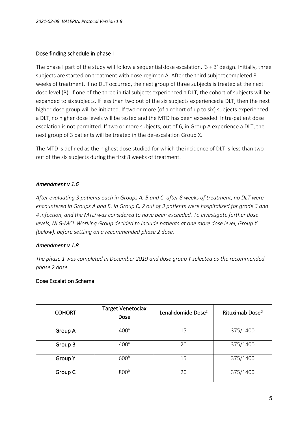## Dose finding schedule in phase I

The phase I part of the study will follow a sequential dose escalation, '3 + 3' design. Initially, three subjects are started on treatment with dose regimen A. After the third subject completed 8 weeks of treatment, if no DLT occurred, the next group of three subjects is treated at the next dose level (B). If one of the three initial subjects experienced a DLT, the cohort of subjects will be expanded to six subjects. If less than two out of the six subjects experienced a DLT, then the next higher dose group will be initiated. If two or more (of a cohort of up to six) subjects experienced a DLT, no higher dose levels will be tested and the MTD has been exceeded. Intra-patient dose escalation is not permitted. If two or more subjects, out of 6, in Group A experience a DLT, the next group of 3 patients will be treated in the de-escalation Group X.

The MTD is defined as the highest dose studied for which the incidence of DLT is less than two out of the six subjects during the first 8 weeks of treatment.

## *Amendment v 1.6*

*After evaluating 3 patients each in Groups A, B and C, after 8 weeks of treatment, no DLT were encountered in Groups A and B. In Group C, 2 out of 3 patients were hospitalized for grade 3 and 4 infection, and the MTD was considered to have been exceeded. To investigate further dose levels, NLG-MCL Working Group decided to include patients at one more dose level, Group Y (below), before settling on a recommended phase 2 dose.*

## *Amendment v 1.8*

*The phase 1 was completed in December 2019 and dose group Y selected as the recommended phase 2 dose.* 

## Dose Escalation Schema

| <b>COHORT</b>  | <b>Target Venetoclax</b><br>Dose | Lenalidomide Dose <sup>c</sup> | Rituximab Dose <sup>d</sup> |
|----------------|----------------------------------|--------------------------------|-----------------------------|
| Group A        | 400 <sup>a</sup>                 | 15                             | 375/1400                    |
| Group B        | 400 <sup>a</sup>                 | 20                             | 375/1400                    |
| <b>Group Y</b> | 600 <sup>b</sup>                 | 15                             | 375/1400                    |
| Group C        | 800 <sup>b</sup>                 | 20                             | 375/1400                    |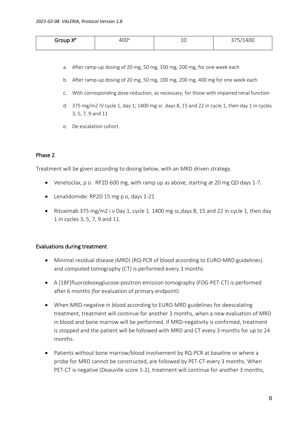| Group Y <sup>e</sup> | JU. | ∸∽ | ∪0⊬⊥ ,          |
|----------------------|-----|----|-----------------|
| $- - -$              | .   |    | $\sim$ . $\sim$ |
|                      |     |    |                 |

- a. After ramp-up dosing of 20 mg, 50 mg, 100 mg, 200 mg, for one week each
- b. After ramp-up dosing of 20 mg, 50 mg, 100 mg, 200 mg, 400 mg for one week each
- c. With corresponding dose-reduction, as necessary, for those with impaired renal function
- d. 375 mg/m2 IV cycle 1, day 1; 1400 mg sc days 8, 15 and 22 in cycle 1, then day 1 in cycles 3, 5, 7, 9 and 11
- e. De-escalation cohort.

#### Phase 2

Treatment will be given according to dosing below, with an MRD driven strategy.

- Venetoclax, p o. RP2D 600 mg, with ramp up as above, starting at 20 mg QD days 1-7.
- Lenalidomide: RP2D 15 mg p o, days 1-21
- Rituximab 375 mg/m2 i v Day 1, cycle 1. 1400 mg sc, days 8, 15 and 22 in cycle 1, then day 1 in cycles 3, 5, 7, 9 and 11.

#### Evaluations during treatment

- Minimal residual disease (MRD) (RQ-PCR of blood according to EURO-MRD guidelines) and computed tomography (CT) is performed every 3 months
- A [18F]fluorodeoxyglucose-positron emission tomography (FDG-PET-CT) is performed after 6 months (for evaluation of primary endpoint)
- When MRD-negative in blood according to EURO-MRD guidelines for deescalating treatment, treatment will continue for another 3 months, when a new evaluation of MRD in blood and bone marrow will be performed. If MRD-negativity is confirmed, treatment is stopped and the patient will be followed with MRD and CT every 3 months for up to 24 months.
- Patients without bone marrow/blood involvement by RQ-PCR at baseline or where a probe for MRD cannot be constructed, are followed by PET-CT every 3 months. When PET-CT is negative (Deauville score 1-2), treatment will continue for another 3 months,